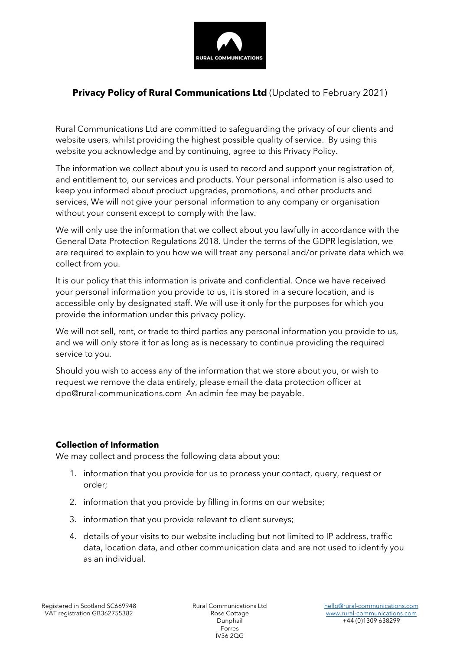

# Privacy Policy of Rural Communications Ltd (Updated to February 2021)

Rural Communications Ltd are committed to safeguarding the privacy of our clients and website users, whilst providing the highest possible quality of service. By using this website you acknowledge and by continuing, agree to this Privacy Policy.

The information we collect about you is used to record and support your registration of, and entitlement to, our services and products. Your personal information is also used to keep you informed about product upgrades, promotions, and other products and services, We will not give your personal information to any company or organisation without your consent except to comply with the law.

We will only use the information that we collect about you lawfully in accordance with the General Data Protection Regulations 2018. Under the terms of the GDPR legislation, we are required to explain to you how we will treat any personal and/or private data which we collect from you.

It is our policy that this information is private and confidential. Once we have received your personal information you provide to us, it is stored in a secure location, and is accessible only by designated staff. We will use it only for the purposes for which you provide the information under this privacy policy.

We will not sell, rent, or trade to third parties any personal information you provide to us, and we will only store it for as long as is necessary to continue providing the required service to you.

Should you wish to access any of the information that we store about you, or wish to request we remove the data entirely, please email the data protection officer at dpo@rural-communications.com An admin fee may be payable.

#### Collection of Information

We may collect and process the following data about you:

- 1. information that you provide for us to process your contact, query, request or order;
- 2. information that you provide by filling in forms on our website;
- 3. information that you provide relevant to client surveys;
- 4. details of your visits to our website including but not limited to IP address, traffic data, location data, and other communication data and are not used to identify you as an individual.